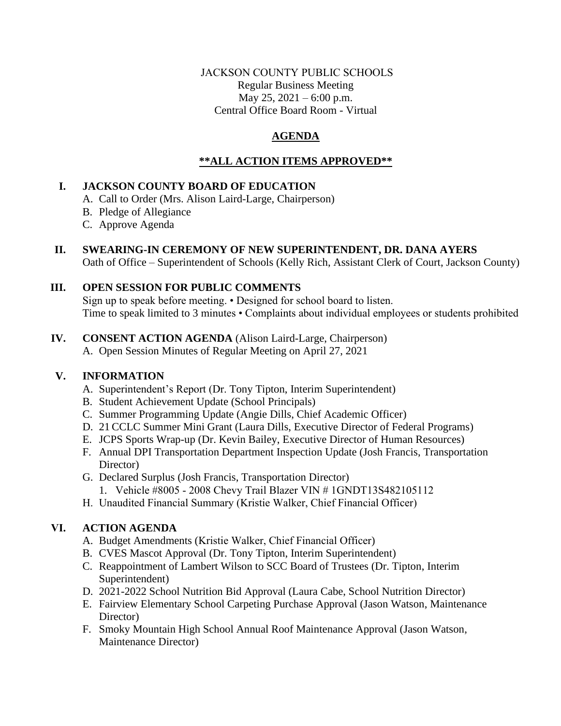### JACKSON COUNTY PUBLIC SCHOOLS Regular Business Meeting May 25, 2021 – 6:00 p.m. Central Office Board Room - Virtual

# **AGENDA**

# **\*\*ALL ACTION ITEMS APPROVED\*\***

# **I. JACKSON COUNTY BOARD OF EDUCATION**

- A. Call to Order (Mrs. Alison Laird-Large, Chairperson)
- B. Pledge of Allegiance
- C. Approve Agenda
- **II. SWEARING-IN CEREMONY OF NEW SUPERINTENDENT, DR. DANA AYERS** Oath of Office – Superintendent of Schools (Kelly Rich, Assistant Clerk of Court, Jackson County)

# **III. OPEN SESSION FOR PUBLIC COMMENTS**

Sign up to speak before meeting. • Designed for school board to listen. Time to speak limited to 3 minutes • Complaints about individual employees or students prohibited

# **IV. CONSENT ACTION AGENDA** (Alison Laird-Large, Chairperson)

A. Open Session Minutes of Regular Meeting on April 27, 2021

## **V. INFORMATION**

- A. Superintendent's Report (Dr. Tony Tipton, Interim Superintendent)
- B. Student Achievement Update (School Principals)
- C. Summer Programming Update (Angie Dills, Chief Academic Officer)
- D. 21 CCLC Summer Mini Grant (Laura Dills, Executive Director of Federal Programs)
- E. JCPS Sports Wrap-up (Dr. Kevin Bailey, Executive Director of Human Resources)
- F. Annual DPI Transportation Department Inspection Update (Josh Francis, Transportation Director)
- G. Declared Surplus (Josh Francis, Transportation Director)
	- 1. Vehicle #8005 2008 Chevy Trail Blazer VIN # 1GNDT13S482105112
- H. Unaudited Financial Summary (Kristie Walker, Chief Financial Officer)

# **VI. ACTION AGENDA**

- A. Budget Amendments (Kristie Walker, Chief Financial Officer)
- B. CVES Mascot Approval (Dr. Tony Tipton, Interim Superintendent)
- C. Reappointment of Lambert Wilson to SCC Board of Trustees (Dr. Tipton, Interim Superintendent)
- D. 2021-2022 School Nutrition Bid Approval (Laura Cabe, School Nutrition Director)
- E. Fairview Elementary School Carpeting Purchase Approval (Jason Watson, Maintenance Director)
- F. Smoky Mountain High School Annual Roof Maintenance Approval (Jason Watson, Maintenance Director)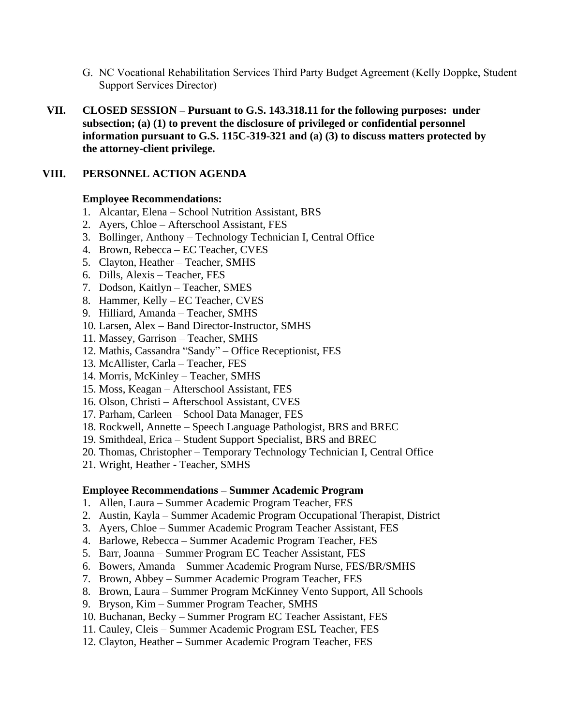- G. NC Vocational Rehabilitation Services Third Party Budget Agreement (Kelly Doppke, Student Support Services Director)
- **VII. CLOSED SESSION – Pursuant to G.S. 143.318.11 for the following purposes: under subsection; (a) (1) to prevent the disclosure of privileged or confidential personnel information pursuant to G.S. 115C-319-321 and (a) (3) to discuss matters protected by the attorney-client privilege.**

### **VIII. PERSONNEL ACTION AGENDA**

### **Employee Recommendations:**

- 1. Alcantar, Elena School Nutrition Assistant, BRS
- 2. Ayers, Chloe Afterschool Assistant, FES
- 3. Bollinger, Anthony Technology Technician I, Central Office
- 4. Brown, Rebecca EC Teacher, CVES
- 5. Clayton, Heather Teacher, SMHS
- 6. Dills, Alexis Teacher, FES
- 7. Dodson, Kaitlyn Teacher, SMES
- 8. Hammer, Kelly EC Teacher, CVES
- 9. Hilliard, Amanda Teacher, SMHS
- 10. Larsen, Alex Band Director-Instructor, SMHS
- 11. Massey, Garrison Teacher, SMHS
- 12. Mathis, Cassandra "Sandy" Office Receptionist, FES
- 13. McAllister, Carla Teacher, FES
- 14. Morris, McKinley Teacher, SMHS
- 15. Moss, Keagan Afterschool Assistant, FES
- 16. Olson, Christi Afterschool Assistant, CVES
- 17. Parham, Carleen School Data Manager, FES
- 18. Rockwell, Annette Speech Language Pathologist, BRS and BREC
- 19. Smithdeal, Erica Student Support Specialist, BRS and BREC
- 20. Thomas, Christopher Temporary Technology Technician I, Central Office
- 21. Wright, Heather Teacher, SMHS

#### **Employee Recommendations – Summer Academic Program**

- 1. Allen, Laura Summer Academic Program Teacher, FES
- 2. Austin, Kayla Summer Academic Program Occupational Therapist, District
- 3. Ayers, Chloe Summer Academic Program Teacher Assistant, FES
- 4. Barlowe, Rebecca Summer Academic Program Teacher, FES
- 5. Barr, Joanna Summer Program EC Teacher Assistant, FES
- 6. Bowers, Amanda Summer Academic Program Nurse, FES/BR/SMHS
- 7. Brown, Abbey Summer Academic Program Teacher, FES
- 8. Brown, Laura Summer Program McKinney Vento Support, All Schools
- 9. Bryson, Kim Summer Program Teacher, SMHS
- 10. Buchanan, Becky Summer Program EC Teacher Assistant, FES
- 11. Cauley, Cleis Summer Academic Program ESL Teacher, FES
- 12. Clayton, Heather Summer Academic Program Teacher, FES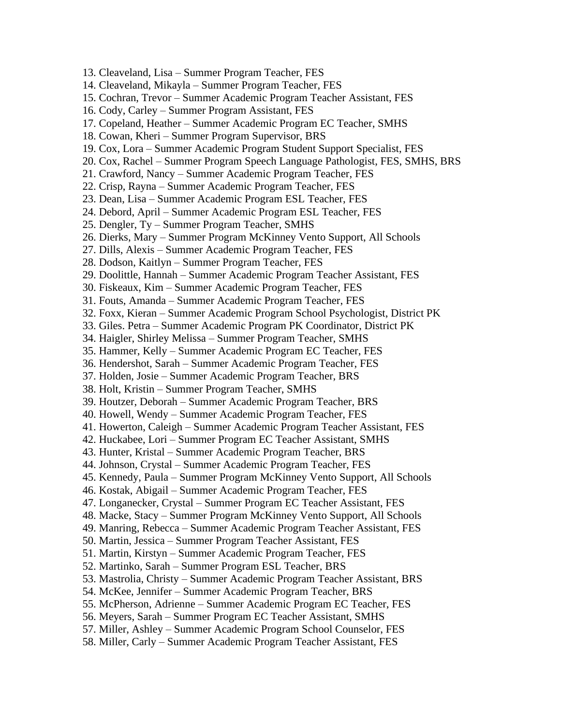13. Cleaveland, Lisa – Summer Program Teacher, FES 14. Cleaveland, Mikayla – Summer Program Teacher, FES 15. Cochran, Trevor – Summer Academic Program Teacher Assistant, FES 16. Cody, Carley – Summer Program Assistant, FES 17. Copeland, Heather – Summer Academic Program EC Teacher, SMHS 18. Cowan, Kheri – Summer Program Supervisor, BRS 19. Cox, Lora – Summer Academic Program Student Support Specialist, FES 20. Cox, Rachel – Summer Program Speech Language Pathologist, FES, SMHS, BRS 21. Crawford, Nancy – Summer Academic Program Teacher, FES 22. Crisp, Rayna – Summer Academic Program Teacher, FES 23. Dean, Lisa – Summer Academic Program ESL Teacher, FES 24. Debord, April – Summer Academic Program ESL Teacher, FES 25. Dengler, Ty – Summer Program Teacher, SMHS 26. Dierks, Mary – Summer Program McKinney Vento Support, All Schools 27. Dills, Alexis – Summer Academic Program Teacher, FES 28. Dodson, Kaitlyn – Summer Program Teacher, FES 29. Doolittle, Hannah – Summer Academic Program Teacher Assistant, FES 30. Fiskeaux, Kim – Summer Academic Program Teacher, FES 31. Fouts, Amanda – Summer Academic Program Teacher, FES 32. Foxx, Kieran – Summer Academic Program School Psychologist, District PK 33. Giles. Petra – Summer Academic Program PK Coordinator, District PK 34. Haigler, Shirley Melissa – Summer Program Teacher, SMHS 35. Hammer, Kelly – Summer Academic Program EC Teacher, FES 36. Hendershot, Sarah – Summer Academic Program Teacher, FES 37. Holden, Josie – Summer Academic Program Teacher, BRS 38. Holt, Kristin – Summer Program Teacher, SMHS 39. Houtzer, Deborah – Summer Academic Program Teacher, BRS 40. Howell, Wendy – Summer Academic Program Teacher, FES 41. Howerton, Caleigh – Summer Academic Program Teacher Assistant, FES 42. Huckabee, Lori – Summer Program EC Teacher Assistant, SMHS 43. Hunter, Kristal – Summer Academic Program Teacher, BRS 44. Johnson, Crystal – Summer Academic Program Teacher, FES 45. Kennedy, Paula – Summer Program McKinney Vento Support, All Schools 46. Kostak, Abigail – Summer Academic Program Teacher, FES 47. Longanecker, Crystal – Summer Program EC Teacher Assistant, FES 48. Macke, Stacy – Summer Program McKinney Vento Support, All Schools 49. Manring, Rebecca – Summer Academic Program Teacher Assistant, FES 50. Martin, Jessica – Summer Program Teacher Assistant, FES 51. Martin, Kirstyn – Summer Academic Program Teacher, FES 52. Martinko, Sarah – Summer Program ESL Teacher, BRS 53. Mastrolia, Christy – Summer Academic Program Teacher Assistant, BRS 54. McKee, Jennifer – Summer Academic Program Teacher, BRS 55. McPherson, Adrienne – Summer Academic Program EC Teacher, FES 56. Meyers, Sarah – Summer Program EC Teacher Assistant, SMHS 57. Miller, Ashley – Summer Academic Program School Counselor, FES 58. Miller, Carly – Summer Academic Program Teacher Assistant, FES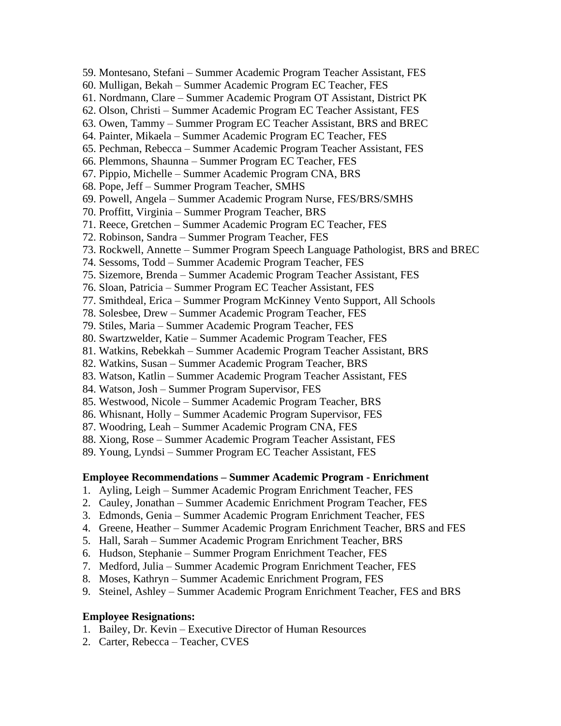- 59. Montesano, Stefani Summer Academic Program Teacher Assistant, FES
- 60. Mulligan, Bekah Summer Academic Program EC Teacher, FES
- 61. Nordmann, Clare Summer Academic Program OT Assistant, District PK
- 62. Olson, Christi Summer Academic Program EC Teacher Assistant, FES
- 63. Owen, Tammy Summer Program EC Teacher Assistant, BRS and BREC
- 64. Painter, Mikaela Summer Academic Program EC Teacher, FES
- 65. Pechman, Rebecca Summer Academic Program Teacher Assistant, FES
- 66. Plemmons, Shaunna Summer Program EC Teacher, FES
- 67. Pippio, Michelle Summer Academic Program CNA, BRS
- 68. Pope, Jeff Summer Program Teacher, SMHS
- 69. Powell, Angela Summer Academic Program Nurse, FES/BRS/SMHS
- 70. Proffitt, Virginia Summer Program Teacher, BRS
- 71. Reece, Gretchen Summer Academic Program EC Teacher, FES
- 72. Robinson, Sandra Summer Program Teacher, FES
- 73. Rockwell, Annette Summer Program Speech Language Pathologist, BRS and BREC
- 74. Sessoms, Todd Summer Academic Program Teacher, FES
- 75. Sizemore, Brenda Summer Academic Program Teacher Assistant, FES
- 76. Sloan, Patricia Summer Program EC Teacher Assistant, FES
- 77. Smithdeal, Erica Summer Program McKinney Vento Support, All Schools
- 78. Solesbee, Drew Summer Academic Program Teacher, FES
- 79. Stiles, Maria Summer Academic Program Teacher, FES
- 80. Swartzwelder, Katie Summer Academic Program Teacher, FES
- 81. Watkins, Rebekkah Summer Academic Program Teacher Assistant, BRS
- 82. Watkins, Susan Summer Academic Program Teacher, BRS
- 83. Watson, Katlin Summer Academic Program Teacher Assistant, FES
- 84. Watson, Josh Summer Program Supervisor, FES
- 85. Westwood, Nicole Summer Academic Program Teacher, BRS
- 86. Whisnant, Holly Summer Academic Program Supervisor, FES
- 87. Woodring, Leah Summer Academic Program CNA, FES
- 88. Xiong, Rose Summer Academic Program Teacher Assistant, FES
- 89. Young, Lyndsi Summer Program EC Teacher Assistant, FES

#### **Employee Recommendations – Summer Academic Program - Enrichment**

- 1. Ayling, Leigh Summer Academic Program Enrichment Teacher, FES
- 2. Cauley, Jonathan Summer Academic Enrichment Program Teacher, FES
- 3. Edmonds, Genia Summer Academic Program Enrichment Teacher, FES
- 4. Greene, Heather Summer Academic Program Enrichment Teacher, BRS and FES
- 5. Hall, Sarah Summer Academic Program Enrichment Teacher, BRS
- 6. Hudson, Stephanie Summer Program Enrichment Teacher, FES
- 7. Medford, Julia Summer Academic Program Enrichment Teacher, FES
- 8. Moses, Kathryn Summer Academic Enrichment Program, FES
- 9. Steinel, Ashley Summer Academic Program Enrichment Teacher, FES and BRS

#### **Employee Resignations:**

- 1. Bailey, Dr. Kevin Executive Director of Human Resources
- 2. Carter, Rebecca Teacher, CVES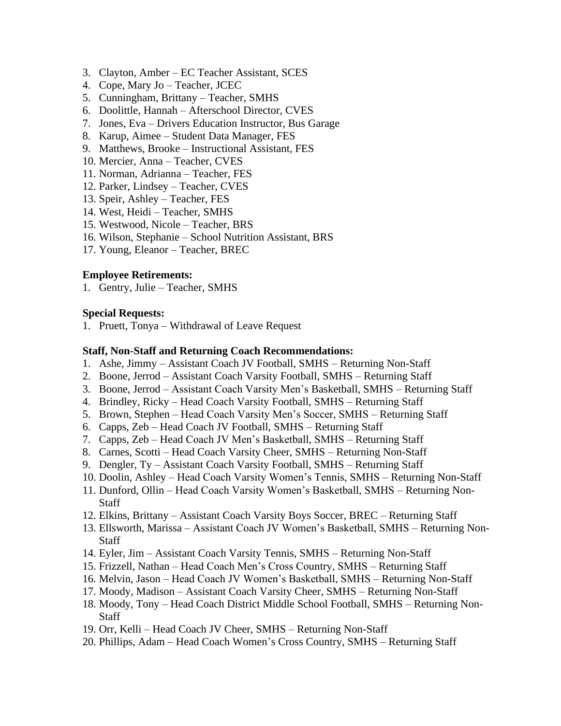- 3. Clayton, Amber EC Teacher Assistant, SCES
- 4. Cope, Mary Jo Teacher, JCEC
- 5. Cunningham, Brittany Teacher, SMHS
- 6. Doolittle, Hannah Afterschool Director, CVES
- 7. Jones, Eva Drivers Education Instructor, Bus Garage
- 8. Karup, Aimee Student Data Manager, FES
- 9. Matthews, Brooke Instructional Assistant, FES
- 10. Mercier, Anna Teacher, CVES
- 11. Norman, Adrianna Teacher, FES
- 12. Parker, Lindsey Teacher, CVES
- 13. Speir, Ashley Teacher, FES
- 14. West, Heidi Teacher, SMHS
- 15. Westwood, Nicole Teacher, BRS
- 16. Wilson, Stephanie School Nutrition Assistant, BRS
- 17. Young, Eleanor Teacher, BREC

#### **Employee Retirements:**

1. Gentry, Julie – Teacher, SMHS

#### **Special Requests:**

1. Pruett, Tonya – Withdrawal of Leave Request

#### **Staff, Non-Staff and Returning Coach Recommendations:**

- 1. Ashe, Jimmy Assistant Coach JV Football, SMHS Returning Non-Staff
- 2. Boone, Jerrod Assistant Coach Varsity Football, SMHS Returning Staff
- 3. Boone, Jerrod Assistant Coach Varsity Men's Basketball, SMHS Returning Staff
- 4. Brindley, Ricky Head Coach Varsity Football, SMHS Returning Staff
- 5. Brown, Stephen Head Coach Varsity Men's Soccer, SMHS Returning Staff
- 6. Capps, Zeb Head Coach JV Football, SMHS Returning Staff
- 7. Capps, Zeb Head Coach JV Men's Basketball, SMHS Returning Staff
- 8. Carnes, Scotti Head Coach Varsity Cheer, SMHS Returning Non-Staff
- 9. Dengler, Ty Assistant Coach Varsity Football, SMHS Returning Staff
- 10. Doolin, Ashley Head Coach Varsity Women's Tennis, SMHS Returning Non-Staff
- 11. Dunford, Ollin Head Coach Varsity Women's Basketball, SMHS Returning Non-Staff
- 12. Elkins, Brittany Assistant Coach Varsity Boys Soccer, BREC Returning Staff
- 13. Ellsworth, Marissa Assistant Coach JV Women's Basketball, SMHS Returning Non-Staff
- 14. Eyler, Jim Assistant Coach Varsity Tennis, SMHS Returning Non-Staff
- 15. Frizzell, Nathan Head Coach Men's Cross Country, SMHS Returning Staff
- 16. Melvin, Jason Head Coach JV Women's Basketball, SMHS Returning Non-Staff
- 17. Moody, Madison Assistant Coach Varsity Cheer, SMHS Returning Non-Staff
- 18. Moody, Tony Head Coach District Middle School Football, SMHS Returning Non-**Staff**
- 19. Orr, Kelli Head Coach JV Cheer, SMHS Returning Non-Staff
- 20. Phillips, Adam Head Coach Women's Cross Country, SMHS Returning Staff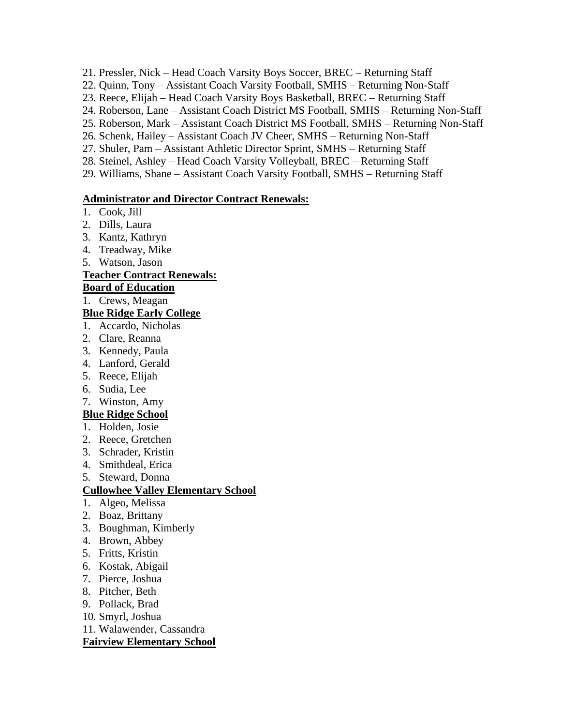21. Pressler, Nick – Head Coach Varsity Boys Soccer, BREC – Returning Staff

- 22. Quinn, Tony Assistant Coach Varsity Football, SMHS Returning Non-Staff
- 23. Reece, Elijah Head Coach Varsity Boys Basketball, BREC Returning Staff
- 24. Roberson, Lane Assistant Coach District MS Football, SMHS Returning Non-Staff
- 25. Roberson, Mark Assistant Coach District MS Football, SMHS Returning Non-Staff
- 26. Schenk, Hailey Assistant Coach JV Cheer, SMHS Returning Non-Staff
- 27. Shuler, Pam Assistant Athletic Director Sprint, SMHS Returning Staff
- 28. Steinel, Ashley Head Coach Varsity Volleyball, BREC Returning Staff
- 29. Williams, Shane Assistant Coach Varsity Football, SMHS Returning Staff

### **Administrator and Director Contract Renewals:**

- 1. Cook, Jill
- 2. Dills, Laura
- 3. Kantz, Kathryn
- 4. Treadway, Mike
- 5. Watson, Jason

### **Teacher Contract Renewals:**

### **Board of Education**

1. Crews, Meagan

### **Blue Ridge Early College**

- 1. Accardo, Nicholas
- 2. Clare, Reanna
- 3. Kennedy, Paula
- 4. Lanford, Gerald
- 5. Reece, Elijah
- 6. Sudia, Lee
- 7. Winston, Amy

## **Blue Ridge School**

- 1. Holden, Josie
- 2. Reece, Gretchen
- 3. Schrader, Kristin
- 4. Smithdeal, Erica
- 5. Steward, Donna

## **Cullowhee Valley Elementary School**

- 1. Algeo, Melissa
- 2. Boaz, Brittany
- 3. Boughman, Kimberly
- 4. Brown, Abbey
- 5. Fritts, Kristin
- 6. Kostak, Abigail
- 7. Pierce, Joshua
- 8. Pitcher, Beth
- 9. Pollack, Brad
- 10. Smyrl, Joshua
- 11. Walawender, Cassandra

### **Fairview Elementary School**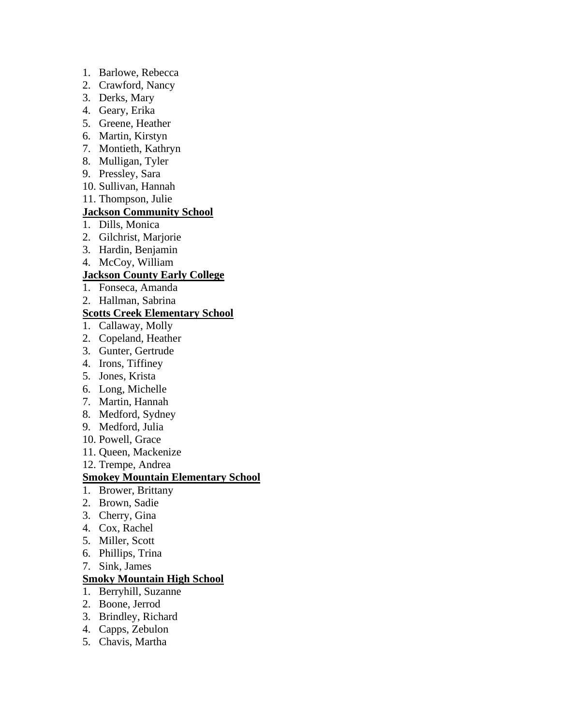- 1. Barlowe, Rebecca
- 2. Crawford, Nancy
- 3. Derks, Mary
- 4. Geary, Erika
- 5. Greene, Heather
- 6. Martin, Kirstyn
- 7. Montieth, Kathryn
- 8. Mulligan, Tyler
- 9. Pressley, Sara
- 10. Sullivan, Hannah
- 11. Thompson, Julie

## **Jackson Community School**

- 1. Dills, Monica
- 2. Gilchrist, Marjorie
- 3. Hardin, Benjamin
- 4. McCoy, William

## **Jackson County Early College**

- 1. Fonseca, Amanda
- 2. Hallman, Sabrina

### **Scotts Creek Elementary School**

- 1. Callaway, Molly
- 2. Copeland, Heather
- 3. Gunter, Gertrude
- 4. Irons, Tiffiney
- 5. Jones, Krista
- 6. Long, Michelle
- 7. Martin, Hannah
- 8. Medford, Sydney
- 9. Medford, Julia
- 10. Powell, Grace
- 11. Queen, Mackenize
- 12. Trempe, Andrea

### **Smokey Mountain Elementary School**

- 1. Brower, Brittany
- 2. Brown, Sadie
- 3. Cherry, Gina
- 4. Cox, Rachel
- 5. Miller, Scott
- 6. Phillips, Trina
- 7. Sink, James

### **Smoky Mountain High School**

- 1. Berryhill, Suzanne
- 2. Boone, Jerrod
- 3. Brindley, Richard
- 4. Capps, Zebulon
- 5. Chavis, Martha